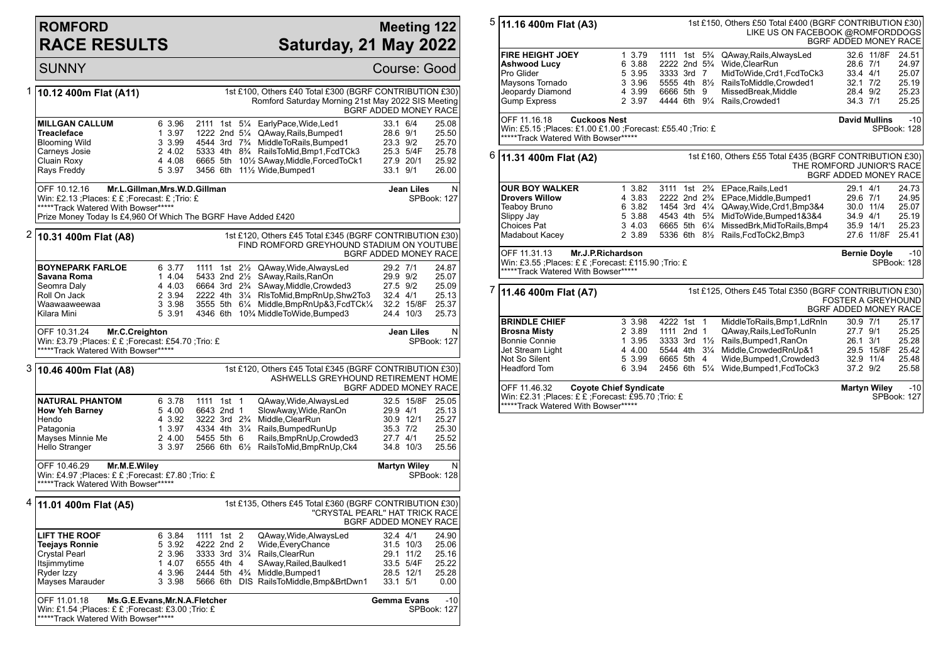## **ROMFORD RACE RESULTS**

## **Meeting 122 Saturday, 21 May 2022**

|   | <b>SUNNY</b>                                                                                                                                                          |                                                          |                                                                                                   |                                                                                                                                                                                                                                                                                         | <b>Course: Good</b>                                                          |                                                    |
|---|-----------------------------------------------------------------------------------------------------------------------------------------------------------------------|----------------------------------------------------------|---------------------------------------------------------------------------------------------------|-----------------------------------------------------------------------------------------------------------------------------------------------------------------------------------------------------------------------------------------------------------------------------------------|------------------------------------------------------------------------------|----------------------------------------------------|
| 1 | 10.12 400m Flat (A11)                                                                                                                                                 |                                                          |                                                                                                   | 1st £100, Others £40 Total £300 (BGRF CONTRIBUTION £30)<br>Romford Saturday Morning 21st May 2022 SIS Meeting                                                                                                                                                                           | BGRF ADDED MONEY RACE                                                        |                                                    |
|   | <b>MILLGAN CALLUM</b><br><b>Treacleface</b><br><b>Blooming Wild</b><br>Carneys Josie<br>Cluain Roxy<br>Rays Freddy                                                    | 6 3.96<br>1 3.97<br>3 3.99<br>2 4.02<br>4 4.08<br>5 3.97 | 3456 6th                                                                                          | 2111 1st 51/4 EarlyPace, Wide, Led1<br>1222 2nd 51/4 QAway, Rails, Bumped 1<br>4544 3rd 7 <sup>3</sup> / <sub>4</sub> MiddleToRails, Bumped 1<br>5333 4th 8 <sup>3</sup> / <sub>4</sub> RailsToMid, Bmp1, FcdTCk3<br>6665 5th 101/2 SAway, Middle, Forced To Ck1<br>111/2 Wide, Bumped1 | 33.1 6/4<br>28.6 9/1<br>23.3 9/2<br>25.3 5/4F<br>27.9 20/1<br>33.1 9/1       | 25.08<br>25.50<br>25.70<br>25.78<br>25.92<br>26.00 |
|   | OFF 10.12.16<br>Win: £2.13 ;Places: £ £ ;Forecast: £ ;Trio: £<br>*****Track Watered With Bowser*****<br>Prize Money Today Is £4,960 Of Which The BGRF Have Added £420 | Mr.L.Gillman, Mrs.W.D.Gillman                            |                                                                                                   |                                                                                                                                                                                                                                                                                         | Jean Liles                                                                   | N<br>SPBook: 127                                   |
|   | $2 $ 10.31 400m Flat (A8)                                                                                                                                             |                                                          |                                                                                                   | 1st £120, Others £45 Total £345 (BGRF CONTRIBUTION £30)<br>FIND ROMFORD GREYHOUND STADIUM ON YOUTUBE                                                                                                                                                                                    | BGRF ADDED MONEY RACE                                                        |                                                    |
|   | <b>BOYNEPARK FARLOE</b><br>Savana Roma<br>Seomra Daly<br>Roll On Jack<br>Waawaaweewaa<br>Kilara Mini                                                                  | 6 3.77<br>1 4.04<br>4 4.03<br>2 3.94<br>3 3.98<br>5 3.91 |                                                                                                   | 1111 1st 21/2 QAway, Wide, Always Led<br>5433 2nd 21/2 SAway, Rails, RanOn<br>6664 3rd 2 <sup>3</sup> / <sub>4</sub> SAway, Middle, Crowded 3<br>2222 4th 31/4 RIsToMid, BmpRnUp, Shw2To3<br>3555 5th 61/4 Middle, BmpRnUp&3, FcdTCk1/4<br>4346 6th 10% MiddleToWide, Bumped3           | 29.2 7/1<br>29.9 9/2<br>27.5 9/2<br>32.4 4/1<br>32.2 15/8F<br>24.4 10/3      | 24.87<br>25.07<br>25.09<br>25.13<br>25.37<br>25.73 |
|   | OFF 10.31.24<br>Mr.C.Creighton<br>Win: £3.79 ; Places: £ £ ; Forecast: £54.70 ; Trio: £<br>*****Track Watered With Bowser*****                                        |                                                          |                                                                                                   |                                                                                                                                                                                                                                                                                         | Jean Liles                                                                   | N<br>SPBook: 127                                   |
| 3 | 10.46 400m Flat (A8)                                                                                                                                                  |                                                          |                                                                                                   | 1st £120, Others £45 Total £345 (BGRF CONTRIBUTION £30)<br>ASHWELLS GREYHOUND RETIREMENT HOME                                                                                                                                                                                           | BGRF ADDED MONEY RACE                                                        |                                                    |
|   | <b>NATURAL PHANTOM</b><br><b>How Yeh Barney</b><br>Hendo<br>Patagonia<br>Mayses Minnie Me<br>Hello Stranger                                                           | 6 3.78<br>5 4.00<br>4 3.92<br>1 3.97<br>2 4.00<br>3 3.97 | 1111 1st 1<br>6643 2nd 1<br>3222 3rd 2 <sup>3</sup> / <sub>4</sub><br>5455 5th 6                  | QAway, Wide, Always Led<br>SlowAway, Wide, RanOn<br>Middle, ClearRun<br>4334 4th 31/4 Rails, Bumped Run Up<br>Rails, BmpRnUp, Crowded3<br>2566 6th 61/2 RailsToMid, BmpRnUp, Ck4                                                                                                        | 32.5 15/8F<br>29.9 4/1<br>30.9 12/1<br>35.3 7/2<br>27.7 4/1<br>34.8 10/3     | 25.05<br>25.13<br>25.27<br>25.30<br>25.52<br>25.56 |
|   | OFF 10.46.29<br>Mr.M.E.Wiley<br>Win: £4.97 ; Places: £ £ ; Forecast: £7.80 ; Trio: £<br>*****Track Watered With Bowser*****                                           | <b>Martyn Wiley</b>                                      | N<br>SPBook: 128                                                                                  |                                                                                                                                                                                                                                                                                         |                                                                              |                                                    |
| 4 | 11.01 400m Flat (A5)                                                                                                                                                  |                                                          |                                                                                                   | 1st £135, Others £45 Total £360 (BGRF CONTRIBUTION £30)<br>"CRYSTAL PEARL" HAT TRICK RACE                                                                                                                                                                                               | BGRF ADDED MONEY RACE                                                        |                                                    |
|   | <b>LIFT THE ROOF</b><br><b>Teejays Ronnie</b><br><b>Crystal Pearl</b><br>Itsjimmytime<br>Ryder Izzy<br>Mayses Marauder                                                | 6 3.84<br>5 3.92<br>2 3.96<br>1 4.07<br>4 3.96<br>3 3.98 | 1111 1st 2<br>4222 2nd 2<br>3333 3rd 31/4<br>6555 4th 4<br>2444 5th 4 <sup>3</sup> / <sub>4</sub> | QAway, Wide, Always Led<br>Wide, Every Chance<br>Rails, ClearRun<br>SAway, Railed, Baulked1<br>Middle, Bumped1<br>5666 6th DIS RailsToMiddle, Bmp& BrtDwn1                                                                                                                              | 32.4 4/1<br>31.5 10/3<br>29.1 11/2<br>33.5 5/4F<br>28.5 12/1<br>$33.1$ $5/1$ | 24.90<br>25.06<br>25.16<br>25.22<br>25.28<br>0.00  |
|   | OFF 11.01.18<br>Win: £1.54 ;Places: £ £ ;Forecast: £3.00 ;Trio: £<br>*****Track Watered With Bowser*****                                                              | Ms.G.E.Evans, Mr.N.A.Fletcher                            |                                                                                                   |                                                                                                                                                                                                                                                                                         | <b>Gemma Evans</b>                                                           | $-10$<br>SPBook: 127                               |

| 5                                                                                                                                          |                                                                                                                                                                       | 1st £150, Others £50 Total £400 (BGRF CONTRIBUTION £30)<br>11.16 400m Flat (A3)<br>LIKE US ON FACEBOOK @ROMFORDDOGS<br>BGRF ADDED MONEY RACE |                                                          |                                                         |  |  |                                                                                                                                                                                                                                                                                                                                 |                                                              |                      |                                                    |
|--------------------------------------------------------------------------------------------------------------------------------------------|-----------------------------------------------------------------------------------------------------------------------------------------------------------------------|----------------------------------------------------------------------------------------------------------------------------------------------|----------------------------------------------------------|---------------------------------------------------------|--|--|---------------------------------------------------------------------------------------------------------------------------------------------------------------------------------------------------------------------------------------------------------------------------------------------------------------------------------|--------------------------------------------------------------|----------------------|----------------------------------------------------|
|                                                                                                                                            | <b>FIRE HEIGHT JOEY</b><br><b>Ashwood Lucy</b><br>Pro Glider<br>Maysons Tornado<br>Jeopardy Diamond<br><b>Gump Express</b>                                            |                                                                                                                                              | 1 3.79<br>6 3.88<br>5 3.95<br>3 3.96<br>4 3.99<br>2 3.97 | 3333 3rd 7<br>6666 5th 9                                |  |  | 1111 1st 5 <sup>3</sup> / <sub>4</sub> QAway, Rails, Always Led<br>2222 2nd 5 <sup>3</sup> / <sub>4</sub> Wide, ClearRun<br>MidToWide,Crd1,FcdToCk3<br>5555 4th 81/2 RailsToMiddle, Crowded1<br>MissedBreak, Middle<br>4444 6th 91/4 Rails, Crowded1                                                                            | 28.6 7/1<br>33.4 4/1<br>$32.1$ $7/2$<br>28.4 9/2<br>34.3 7/1 | 32.6 11/8F           | 24.51<br>24.97<br>25.07<br>25.19<br>25.23<br>25.25 |
|                                                                                                                                            | OFF 11.16.18<br>Win: £5.15 ; Places: £1.00 £1.00 ; Forecast: £55.40 ; Trio: £<br>*****Track Watered With Bowser*****                                                  | <b>Cuckoos Nest</b>                                                                                                                          |                                                          |                                                         |  |  |                                                                                                                                                                                                                                                                                                                                 | <b>David Mullins</b>                                         |                      | $-10$<br>SPBook: 128                               |
| 6                                                                                                                                          | 1st £160, Others £55 Total £435 (BGRF CONTRIBUTION £30)<br>11.31 400m Flat (A2)<br>THE ROMFORD JUNIOR'S RACE<br><b>BGRF ADDED MONEY RACE</b>                          |                                                                                                                                              |                                                          |                                                         |  |  |                                                                                                                                                                                                                                                                                                                                 |                                                              |                      |                                                    |
|                                                                                                                                            | <b>OUR BOY WALKER</b><br><b>Drovers Willow</b><br>Teaboy Bruno<br>Slippy Jay<br>Choices Pat<br>Madabout Kacey                                                         |                                                                                                                                              | 13.82<br>4 3.83<br>6 3.82<br>5 3.88<br>3 4.03<br>2 3.89  |                                                         |  |  | 3111 1st 2 <sup>3</sup> / <sub>4</sub> EPace, Rails, Led 1<br>2222 2nd 2 <sup>3</sup> / <sub>4</sub> EPace, Middle, Bumped 1<br>1454 3rd 41/4 QAway, Wide, Crd1, Bmp3&4<br>4543 4th 5 <sup>3</sup> / <sub>4</sub> MidToWide, Bumped 1& 3& 4<br>6665 5th 61/4 MissedBrk, MidToRails, Bmp4<br>5336 6th 81/2 Rails, FcdToCk2, Bmp3 | 29.1 4/1<br>29.6 7/1<br>30.0 11/4<br>34.9 4/1<br>35.9 14/1   | 27.6 11/8F           | 24.73<br>24.95<br>25.07<br>25.19<br>25.23<br>25.41 |
|                                                                                                                                            | OFF 11.31.13<br>Mr.J.P.Richardson<br><b>Bernie Doyle</b><br>Win: £3.55 :Places: £ £ :Forecast: £115.90 :Trio: £<br>SPBook: 128<br>*****Track Watered With Bowser***** |                                                                                                                                              |                                                          |                                                         |  |  |                                                                                                                                                                                                                                                                                                                                 |                                                              | $-10$                |                                                    |
| 7                                                                                                                                          | 1st £125, Others £45 Total £350 (BGRF CONTRIBUTION £30)<br>11.46 400m Flat (A7)<br><b>FOSTER A GREYHOUND</b><br>BGRF ADDED MONEY RACE                                 |                                                                                                                                              |                                                          |                                                         |  |  |                                                                                                                                                                                                                                                                                                                                 |                                                              |                      |                                                    |
|                                                                                                                                            | <b>BRINDLE CHIEF</b><br><b>Brosna Misty</b><br><b>Bonnie Connie</b><br>Jet Stream Light<br>Not So Silent<br><b>Headford Tom</b>                                       |                                                                                                                                              | 3 3.98<br>2 3.89<br>1 3.95<br>4 4.00<br>5 3.99<br>6 3.94 | 4222 1st 1<br>1111 2nd 1<br>5544 4th 31/4<br>6665 5th 4 |  |  | MiddleToRails, Bmp1, LdRnIn<br>QAway, Rails, Led To Run In<br>3333 3rd 11/2 Rails, Bumped 1, RanOn<br>Middle, Crowded RnUp&1<br>Wide, Bumped 1, Crowded 3<br>2456 6th 51/4 Wide, Bumped 1, Fcd To Ck3                                                                                                                           | 30.9 7/1<br>27.7 9/1<br>26.1 3/1<br>32.9 11/4<br>37.2 9/2    | 29.5 15/8F           | 25.17<br>25.25<br>25.28<br>25.42<br>25.48<br>25.58 |
| OFF 11.46.32<br><b>Coyote Chief Syndicate</b><br>Win: £2.31 ;Places: £ £ ;Forecast: £95.70 ;Trio: £<br>*****Track Watered With Bowser***** |                                                                                                                                                                       |                                                                                                                                              |                                                          |                                                         |  |  |                                                                                                                                                                                                                                                                                                                                 | <b>Martyn Wiley</b>                                          | $-10$<br>SPBook: 127 |                                                    |